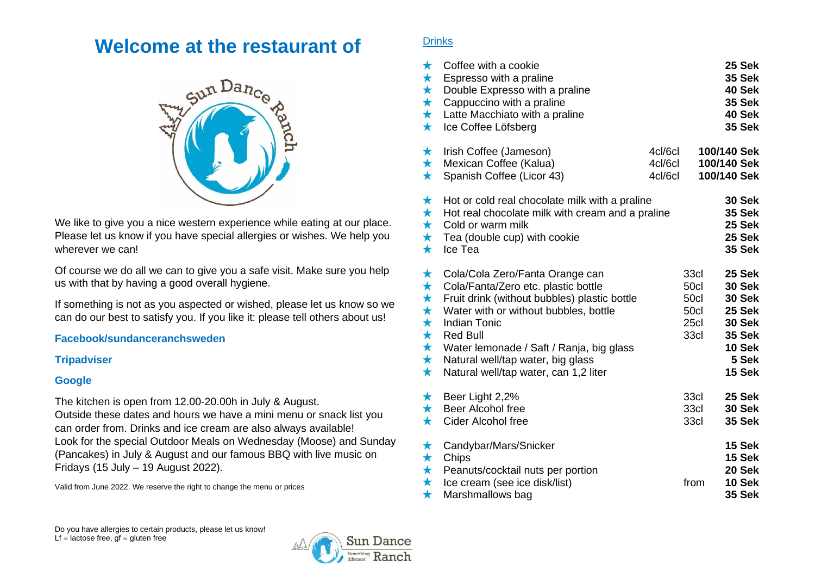# **Welcome at the restaurant of**



We like to give you a nice western experience while eating at our place. Please let us know if you have special allergies or wishes. We help you wherever we can!

Of course we do all we can to give you a safe visit. Make sure you help us with that by having a good overall hygiene.

If something is not as you aspected or wished, please let us know so we can do our best to satisfy you. If you like it: please tell others about us!

# **[Facebook/sundanceranchsweden](http://www.facebook/sundanceranchsweden)**

#### **[Tripadviser](http://www.tripadviser.com/)**

# **Google**

The kitchen is open from 12.00-20.00h in July & August. Outside these dates and hours we have a mini menu or snack list you can order from. Drinks and ice cream are also always available! Look for the special Outdoor Meals on Wednesday (Moose) and Sunday (Pancakes) in July & August and our famous BBQ with live music on Fridays (15 July – 19 August 2022).

Valid from June 2022. We reserve the right to change the menu or prices

# **Drinks**

| $\star$<br>$\star$<br>$\star$<br>$\star$<br>$\star$<br>$\star$                                  | Coffee with a cookie<br>Espresso with a praline<br>Double Expresso with a praline<br>Cappuccino with a praline<br>Latte Macchiato with a praline<br>Ice Coffee Löfsberg                                                                                                                                                             |                               |                                              | 25 Sek<br><b>35 Sek</b><br>40 Sek<br><b>35 Sek</b><br>40 Sek<br><b>35 Sek</b>                              |
|-------------------------------------------------------------------------------------------------|-------------------------------------------------------------------------------------------------------------------------------------------------------------------------------------------------------------------------------------------------------------------------------------------------------------------------------------|-------------------------------|----------------------------------------------|------------------------------------------------------------------------------------------------------------|
| $\star$<br>$\star$<br>$\star$                                                                   | Irish Coffee (Jameson)<br>Mexican Coffee (Kalua)<br>Spanish Coffee (Licor 43)                                                                                                                                                                                                                                                       | 4cl/6cl<br>4cl/6cl<br>4cl/6cl | 100/140 Sek<br>100/140 Sek<br>100/140 Sek    |                                                                                                            |
| $\star$<br>$\star$<br>$\star$<br>$\star$<br>$\bigstar$                                          | Hot or cold real chocolate milk with a praline<br>Hot real chocolate milk with cream and a praline<br>Cold or warm milk<br>Tea (double cup) with cookie<br>Ice Tea                                                                                                                                                                  |                               |                                              | <b>30 Sek</b><br><b>35 Sek</b><br>25 Sek<br>25 Sek<br><b>35 Sek</b>                                        |
| $\star$<br>$\star$<br>$\star$<br>$\star$<br>$\star$<br>$\star$<br>$\star$<br>$\star$<br>$\star$ | Cola/Cola Zero/Fanta Orange can<br>Cola/Fanta/Zero etc. plastic bottle<br>Fruit drink (without bubbles) plastic bottle<br>Water with or without bubbles, bottle<br><b>Indian Tonic</b><br><b>Red Bull</b><br>Water lemonade / Saft / Ranja, big glass<br>Natural well/tap water, big glass<br>Natural well/tap water, can 1,2 liter |                               | 33cl<br>50cl<br>50cl<br>50cl<br>25cl<br>33cl | 25 Sek<br><b>30 Sek</b><br><b>30 Sek</b><br>25 Sek<br><b>30 Sek</b><br>35 Sek<br>10 Sek<br>5 Sek<br>15 Sek |
| $\star$<br>$\star$<br>$\bigstar$                                                                | Beer Light 2,2%<br>Beer Alcohol free<br><b>Cider Alcohol free</b>                                                                                                                                                                                                                                                                   |                               | 33cl<br>33cl<br>33cl                         | 25 Sek<br><b>30 Sek</b><br>35 Sek                                                                          |
| $\star$<br>$\star$<br>$\star$<br>$\star$<br>$\star$                                             | Candybar/Mars/Snicker<br>Chips<br>Peanuts/cocktail nuts per portion<br>Ice cream (see ice disk/list)<br>Marshmallows bag                                                                                                                                                                                                            |                               | from                                         | 15 Sek<br><b>15 Sek</b><br>20 Sek<br>10 Sek<br><b>35 Sek</b>                                               |

Do you have allergies to certain products, please let us know! Lf = lactose free,  $gf = gluten free$ 

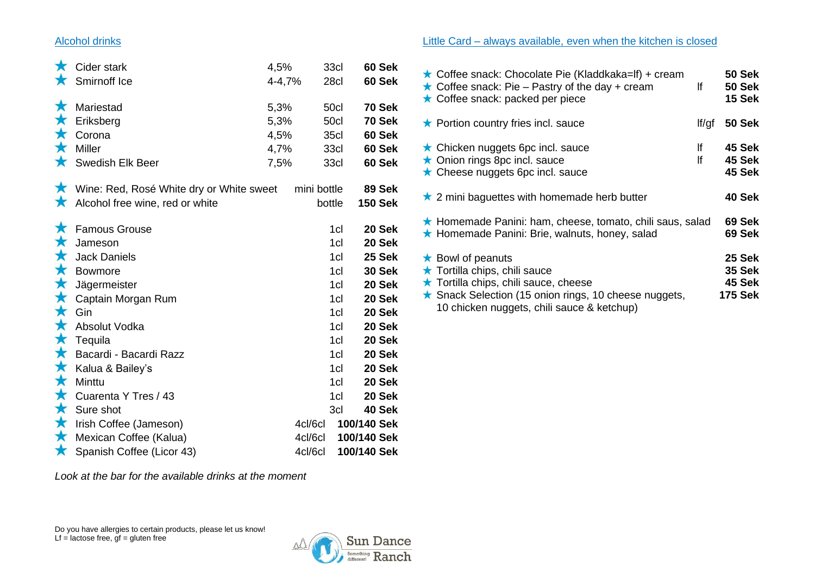# Alcohol drinks

| $\star$<br>$\star$                                                                          | Cider stark<br>Smirnoff Ice                                                                                                  | 4,5%<br>4-4,7%                       |                               | 33cl<br>28cl                                                     | 60 Sek<br>60 Sek                                                             |
|---------------------------------------------------------------------------------------------|------------------------------------------------------------------------------------------------------------------------------|--------------------------------------|-------------------------------|------------------------------------------------------------------|------------------------------------------------------------------------------|
| $\bigstar$<br>$\bigstar$<br>$\bigstar$<br>$\bigstar$<br>$\star$                             | Mariestad<br>Eriksberg<br>Corona<br>Miller<br>Swedish Elk Beer                                                               | 5,3%<br>5,3%<br>4,5%<br>4,7%<br>7,5% |                               | 50cl<br>50cl<br><b>35cl</b><br>33cl<br>33cl                      | <b>70 Sek</b><br>70 Sek<br>60 Sek<br>60 Sek<br>60 Sek                        |
|                                                                                             | ★ Wine: Red, Rosé White dry or White sweet<br>Alcohol free wine, red or white                                                |                                      | mini bottle                   | bottle                                                           | 89 Sek<br><b>150 Sek</b>                                                     |
| $\star$<br>$\bigstar$<br>$\bigstar$<br>$\bigstar$<br>$\bigstar$<br>$\bigstar$<br>$\star$    | <b>Famous Grouse</b><br>Jameson<br><b>Jack Daniels</b><br><b>Bowmore</b><br>Jägermeister<br>Captain Morgan Rum               |                                      |                               | 1cl<br>1cl<br>1cl<br>1 <sub>cl</sub><br>1cl<br>1cl               | 20 Sek<br>20 Sek<br>25 Sek<br><b>30 Sek</b><br>20 Sek<br>20 Sek              |
| $\bigstar$<br>$\bigstar$<br>$\bigstar$<br>$\bigstar$<br>$\bigstar$<br>$\bigstar$<br>$\star$ | Gin<br>Absolut Vodka<br>Tequila<br>Bacardi - Bacardi Razz<br>Kalua & Bailey's<br>Minttu<br>Cuarenta Y Tres / 43<br>Sure shot |                                      |                               | 1cl<br>1cl<br>1cl<br>1 <sub>cl</sub><br>1cl<br>1cl<br>1cl<br>3cl | 20 Sek<br>20 Sek<br>20 Sek<br>20 Sek<br>20 Sek<br>20 Sek<br>20 Sek<br>40 Sek |
| $\bigstar$<br>$\star$<br>$\star$                                                            | Irish Coffee (Jameson)<br>Mexican Coffee (Kalua)<br>Spanish Coffee (Licor 43)                                                |                                      | 4cl/6cl<br>4cl/6cl<br>4cl/6cl | 100/140 Sek<br>100/140 Sek<br>100/140 Sek                        |                                                                              |

*Look at the bar for the available drinks at the moment*



# Little Card – always available, even when the kitchen is closed

| Coffee snack: Chocolate Pie (Kladdkaka=If) + cream<br>$\star$ Coffee snack: Pie – Pastry of the day + cream<br>★ Coffee snack: packed per piece                                                          | lf       | 50 Sek<br><b>50 Sek</b><br><b>15 Sek</b>            |
|----------------------------------------------------------------------------------------------------------------------------------------------------------------------------------------------------------|----------|-----------------------------------------------------|
| $\star$ Portion country fries incl. sauce                                                                                                                                                                | If/qf    | <b>50 Sek</b>                                       |
| $\star$ Chicken nuggets 6pc incl. sauce<br>★ Onion rings 8pc incl. sauce<br>$\star$ Cheese nuggets 6pc incl. sauce                                                                                       | lf<br>lf | 45 Sek<br>45 Sek<br>45 Sek                          |
| $\star$ 2 mini baguettes with homemade herb butter                                                                                                                                                       |          | 40 Sek                                              |
| ★ Homemade Panini: ham, cheese, tomato, chili saus, salad<br>★ Homemade Panini: Brie, walnuts, honey, salad                                                                                              |          | 69 Sek<br>69 Sek                                    |
| $\star$ Bowl of peanuts<br>★ Tortilla chips, chili sauce<br>★ Tortilla chips, chili sauce, cheese<br>★ Snack Selection (15 onion rings, 10 cheese nuggets,<br>10 chicken nuggets, chili sauce & ketchup) |          | 25 Sek<br><b>35 Sek</b><br>45 Sek<br><b>175 Sek</b> |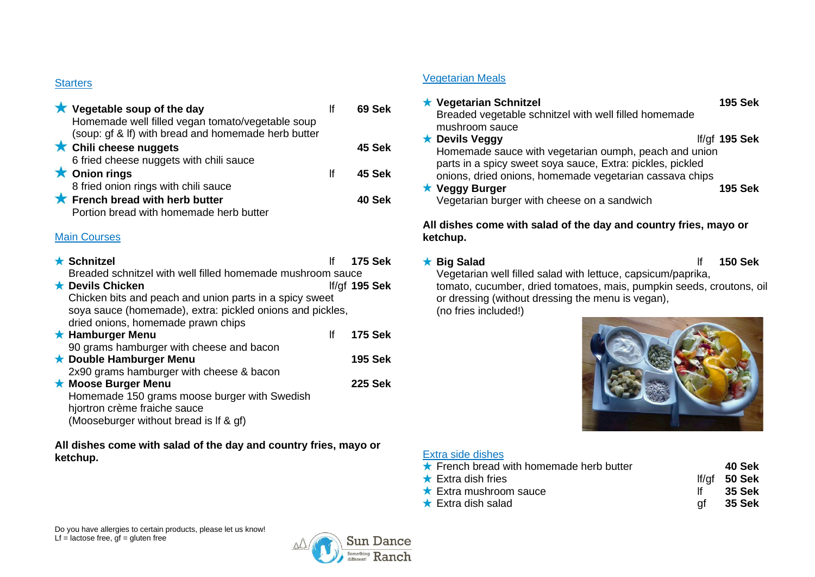# **Starters**

| $\star$ Vegetable soup of the day<br>Homemade well filled vegan tomato/vegetable soup<br>(soup: gf & If) with bread and homemade herb butter |    | 69 Sek |
|----------------------------------------------------------------------------------------------------------------------------------------------|----|--------|
| ★ Chili cheese nuggets<br>6 fried cheese nuggets with chili sauce                                                                            |    | 45 Sek |
| $\bigstar$ Onion rings<br>8 fried onion rings with chili sauce                                                                               | Ιf | 45 Sek |
| $\star$ French bread with herb butter<br>Portion bread with homemade herb butter                                                             |    | 40 Sek |

# Main Courses

| $\star$ Schnitzel                                          | lf | <b>175 Sek</b>  |
|------------------------------------------------------------|----|-----------------|
| Breaded schnitzel with well filled homemade mushroom sauce |    |                 |
| <b>★ Devils Chicken</b>                                    |    | If/gf $195$ Sek |
| Chicken bits and peach and union parts in a spicy sweet    |    |                 |
| soya sauce (homemade), extra: pickled onions and pickles,  |    |                 |
| dried onions, homemade prawn chips                         |    |                 |
| <b>*</b> Hamburger Menu                                    | lf | <b>175 Sek</b>  |
| 90 grams hamburger with cheese and bacon                   |    |                 |
| ★ Double Hamburger Menu                                    |    | <b>195 Sek</b>  |
| 2x90 grams hamburger with cheese & bacon                   |    |                 |
| ★ Moose Burger Menu                                        |    | <b>225 Sek</b>  |
| Homemade 150 grams moose burger with Swedish               |    |                 |
| hjortron crème fraiche sauce                               |    |                 |
| (Mooseburger without bread is If & gf)                     |    |                 |

**All dishes come with salad of the day and country fries, mayo or ketchup.**

# Vegetarian Meals

| ★ Vegetarian Schnitzel                                     | <b>195 Sek</b>  |
|------------------------------------------------------------|-----------------|
| Breaded vegetable schnitzel with well filled homemade      |                 |
| mushroom sauce                                             |                 |
| ★ Devils Veggy                                             | If/gf $195$ Sek |
| Homemade sauce with vegetarian oumph, peach and union      |                 |
| parts in a spicy sweet soya sauce, Extra: pickles, pickled |                 |
| onions, dried onions, homemade vegetarian cassava chips    |                 |
| ★ Veggy Burger                                             | <b>195 Sek</b>  |
| Vegetarian burger with cheese on a sandwich                |                 |

# **All dishes come with salad of the day and country fries, mayo or ketchup.**

**Big Salad** lf **150 Sek**

Vegetarian well filled salad with lettuce, capsicum/paprika, tomato, cucumber, dried tomatoes, mais, pumpkin seeds, croutons, oil or dressing (without dressing the menu is vegan), (no fries included!)



# Extra side dishes

|    | 40 Sek            |
|----|-------------------|
|    | If/ $af = 50$ Sek |
|    | 35 Sek            |
| αt | 35 Sek            |
|    |                   |

Do you have allergies to certain products, please let us know! Lf = lactose free,  $gf = gluten free$